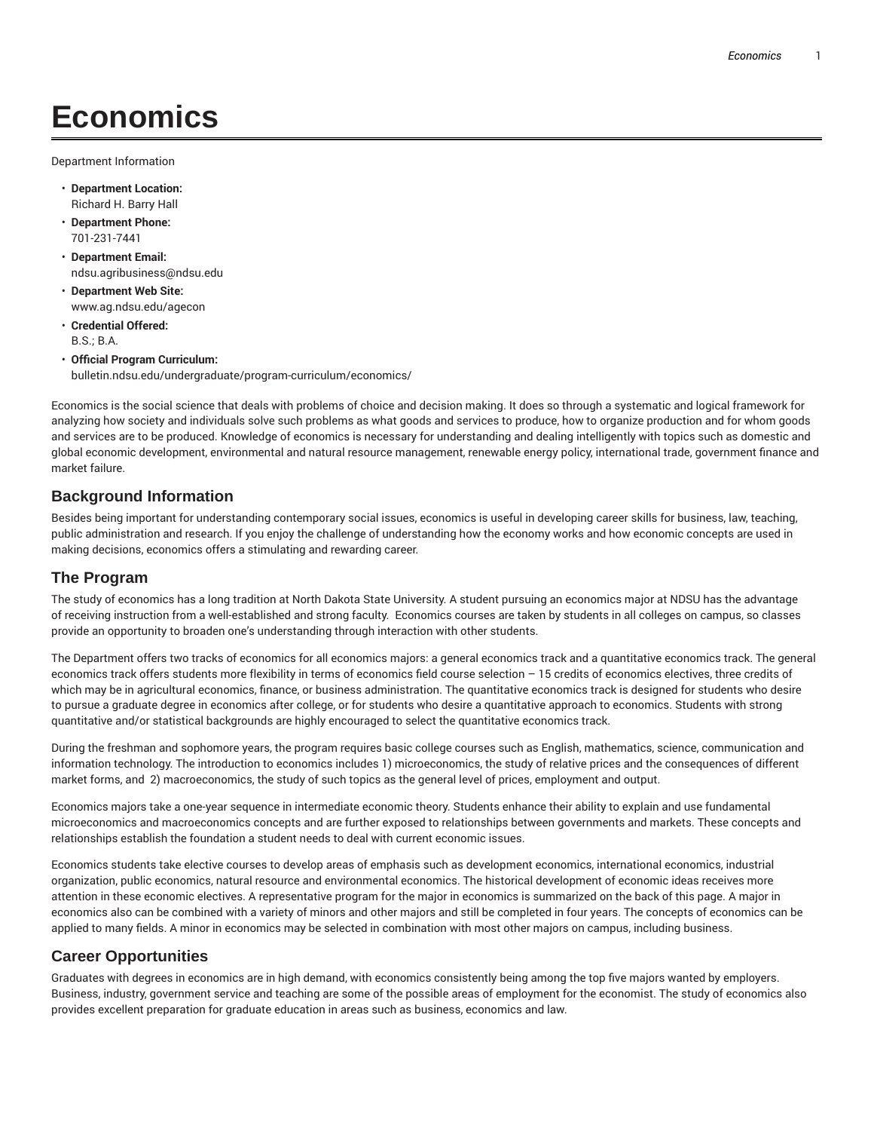# **Economics**

Department Information

- **Department Location:** Richard H. Barry Hall
- **Department Phone:** 701-231-7441
- **Department Email:** ndsu.agribusiness@ndsu.edu
- **Department Web Site:** www.ag.ndsu.edu/agecon
- **Credential Offered:** B.S.; B.A.
- **Official Program Curriculum:** bulletin.ndsu.edu/undergraduate/program-curriculum/economics/

Economics is the social science that deals with problems of choice and decision making. It does so through a systematic and logical framework for analyzing how society and individuals solve such problems as what goods and services to produce, how to organize production and for whom goods and services are to be produced. Knowledge of economics is necessary for understanding and dealing intelligently with topics such as domestic and global economic development, environmental and natural resource management, renewable energy policy, international trade, government finance and market failure.

#### **Background Information**

Besides being important for understanding contemporary social issues, economics is useful in developing career skills for business, law, teaching, public administration and research. If you enjoy the challenge of understanding how the economy works and how economic concepts are used in making decisions, economics offers a stimulating and rewarding career.

#### **The Program**

The study of economics has a long tradition at North Dakota State University. A student pursuing an economics major at NDSU has the advantage of receiving instruction from a well-established and strong faculty. Economics courses are taken by students in all colleges on campus, so classes provide an opportunity to broaden one's understanding through interaction with other students.

The Department offers two tracks of economics for all economics majors: a general economics track and a quantitative economics track. The general economics track offers students more flexibility in terms of economics field course selection – 15 credits of economics electives, three credits of which may be in agricultural economics, finance, or business administration. The quantitative economics track is designed for students who desire to pursue a graduate degree in economics after college, or for students who desire a quantitative approach to economics. Students with strong quantitative and/or statistical backgrounds are highly encouraged to select the quantitative economics track.

During the freshman and sophomore years, the program requires basic college courses such as English, mathematics, science, communication and information technology. The introduction to economics includes 1) microeconomics, the study of relative prices and the consequences of different market forms, and 2) macroeconomics, the study of such topics as the general level of prices, employment and output.

Economics majors take a one-year sequence in intermediate economic theory. Students enhance their ability to explain and use fundamental microeconomics and macroeconomics concepts and are further exposed to relationships between governments and markets. These concepts and relationships establish the foundation a student needs to deal with current economic issues.

Economics students take elective courses to develop areas of emphasis such as development economics, international economics, industrial organization, public economics, natural resource and environmental economics. The historical development of economic ideas receives more attention in these economic electives. A representative program for the major in economics is summarized on the back of this page. A major in economics also can be combined with a variety of minors and other majors and still be completed in four years. The concepts of economics can be applied to many fields. A minor in economics may be selected in combination with most other majors on campus, including business.

#### **Career Opportunities**

Graduates with degrees in economics are in high demand, with economics consistently being among the top five majors wanted by employers. Business, industry, government service and teaching are some of the possible areas of employment for the economist. The study of economics also provides excellent preparation for graduate education in areas such as business, economics and law.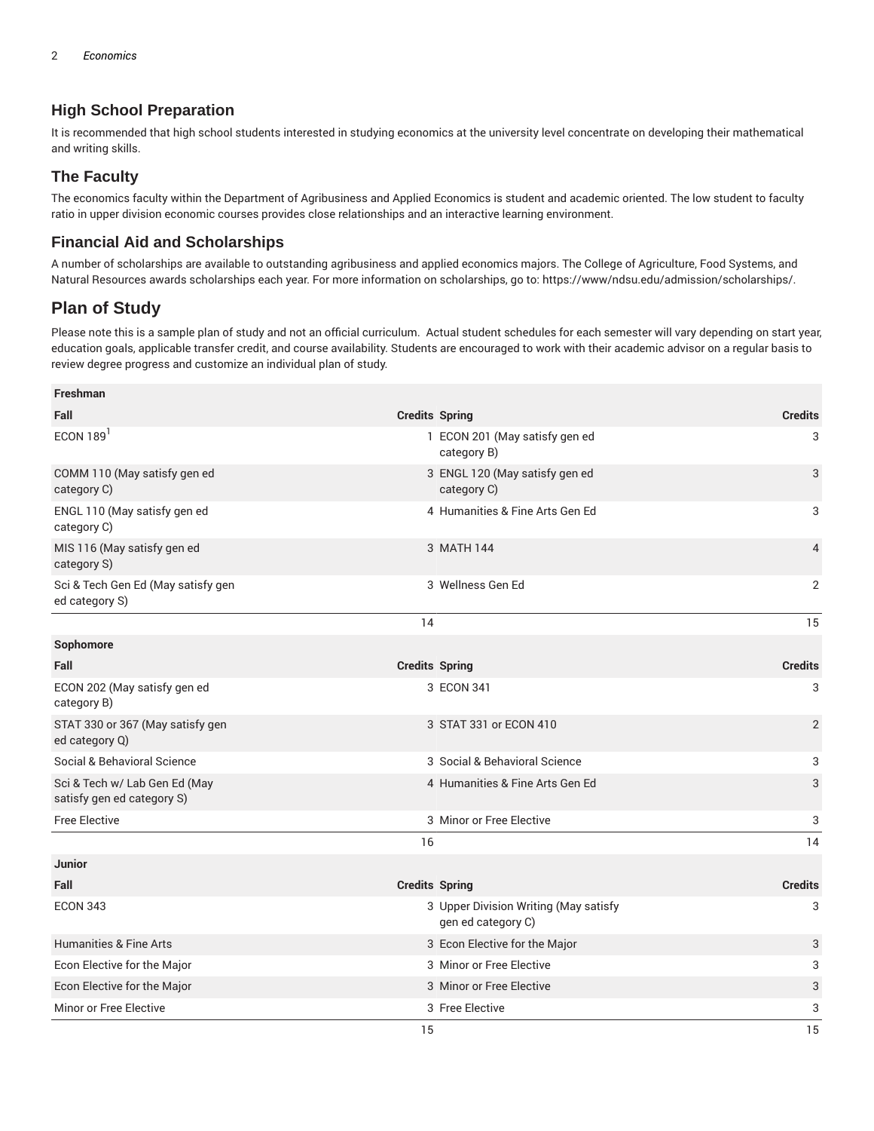## **High School Preparation**

It is recommended that high school students interested in studying economics at the university level concentrate on developing their mathematical and writing skills.

## **The Faculty**

The economics faculty within the Department of Agribusiness and Applied Economics is student and academic oriented. The low student to faculty ratio in upper division economic courses provides close relationships and an interactive learning environment.

### **Financial Aid and Scholarships**

A number of scholarships are available to outstanding agribusiness and applied economics majors. The College of Agriculture, Food Systems, and Natural Resources awards scholarships each year. For more information on scholarships, go to: https://www/ndsu.edu/admission/scholarships/.

## **Plan of Study**

Please note this is a sample plan of study and not an official curriculum. Actual student schedules for each semester will vary depending on start year, education goals, applicable transfer credit, and course availability. Students are encouraged to work with their academic advisor on a regular basis to review degree progress and customize an individual plan of study.

| <b>Freshman</b>                                             |    |                                                             |                |
|-------------------------------------------------------------|----|-------------------------------------------------------------|----------------|
| Fall                                                        |    | <b>Credits Spring</b>                                       | <b>Credits</b> |
| ECON $189$ <sup>1</sup>                                     |    | 1 ECON 201 (May satisfy gen ed<br>category B)               | 3              |
| COMM 110 (May satisfy gen ed<br>category C)                 |    | 3 ENGL 120 (May satisfy gen ed<br>category C)               | 3              |
| ENGL 110 (May satisfy gen ed<br>category C)                 |    | 4 Humanities & Fine Arts Gen Ed                             | 3              |
| MIS 116 (May satisfy gen ed<br>category S)                  |    | 3 MATH 144                                                  | $\overline{4}$ |
| Sci & Tech Gen Ed (May satisfy gen<br>ed category S)        |    | 3 Wellness Gen Ed                                           | 2              |
|                                                             | 14 |                                                             | 15             |
| Sophomore                                                   |    |                                                             |                |
| Fall                                                        |    | <b>Credits Spring</b>                                       | <b>Credits</b> |
| ECON 202 (May satisfy gen ed<br>category B)                 |    | 3 ECON 341                                                  | 3              |
| STAT 330 or 367 (May satisfy gen<br>ed category Q)          |    | 3 STAT 331 or ECON 410                                      | $\overline{2}$ |
| Social & Behavioral Science                                 |    | 3 Social & Behavioral Science                               | 3              |
| Sci & Tech w/ Lab Gen Ed (May<br>satisfy gen ed category S) |    | 4 Humanities & Fine Arts Gen Ed                             | 3              |
| <b>Free Elective</b>                                        |    | 3 Minor or Free Elective                                    | 3              |
|                                                             | 16 |                                                             | 14             |
| <b>Junior</b>                                               |    |                                                             |                |
| Fall                                                        |    | <b>Credits Spring</b>                                       | <b>Credits</b> |
| <b>ECON 343</b>                                             |    | 3 Upper Division Writing (May satisfy<br>gen ed category C) | 3              |
| <b>Humanities &amp; Fine Arts</b>                           |    | 3 Econ Elective for the Major                               | 3              |
| Econ Elective for the Major                                 |    | 3 Minor or Free Elective                                    | 3              |
| Econ Elective for the Major                                 |    | 3 Minor or Free Elective                                    | 3              |
| Minor or Free Elective                                      |    | 3 Free Elective                                             | 3              |
|                                                             | 15 |                                                             | 15             |